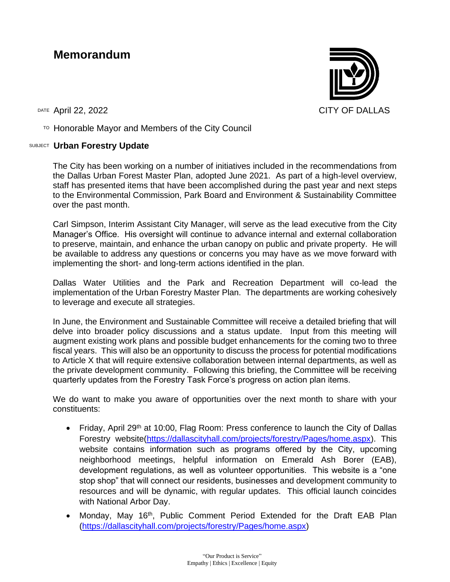## **Memorandum**

 $T$ <sup>O</sup> Honorable Mayor and Members of the City Council

## SUBJECT **Urban Forestry Update**

The City has been working on a number of initiatives included in the recommendations from the Dallas Urban Forest Master Plan, adopted June 2021. As part of a high-level overview, staff has presented items that have been accomplished during the past year and next steps to the Environmental Commission, Park Board and Environment & Sustainability Committee over the past month.

Carl Simpson, Interim Assistant City Manager, will serve as the lead executive from the City Manager's Office. His oversight will continue to advance internal and external collaboration to preserve, maintain, and enhance the urban canopy on public and private property. He will be available to address any questions or concerns you may have as we move forward with implementing the short- and long-term actions identified in the plan.

Dallas Water Utilities and the Park and Recreation Department will co-lead the implementation of the Urban Forestry Master Plan. The departments are working cohesively to leverage and execute all strategies.

In June, the Environment and Sustainable Committee will receive a detailed briefing that will delve into broader policy discussions and a status update. Input from this meeting will augment existing work plans and possible budget enhancements for the coming two to three fiscal years. This will also be an opportunity to discuss the process for potential modifications to Article X that will require extensive collaboration between internal departments, as well as the private development community. Following this briefing, the Committee will be receiving quarterly updates from the Forestry Task Force's progress on action plan items.

We do want to make you aware of opportunities over the next month to share with your constituents:

- Friday, April 29<sup>th</sup> at 10:00, Flag Room: Press conference to launch the City of Dallas Forestry website[\(https://dallascityhall.com/projects/forestry/Pages/home.aspx\)](https://dallascityhall.com/projects/forestry/Pages/home.aspx). This website contains information such as programs offered by the City, upcoming neighborhood meetings, helpful information on Emerald Ash Borer (EAB), development regulations, as well as volunteer opportunities. This website is a "one stop shop" that will connect our residents, businesses and development community to resources and will be dynamic, with regular updates. This official launch coincides with National Arbor Day.
- Monday, May 16<sup>th</sup>, Public Comment Period Extended for the Draft EAB Plan [\(https://dallascityhall.com/projects/forestry/Pages/home.aspx\)](https://dallascityhall.com/projects/forestry/Pages/home.aspx)